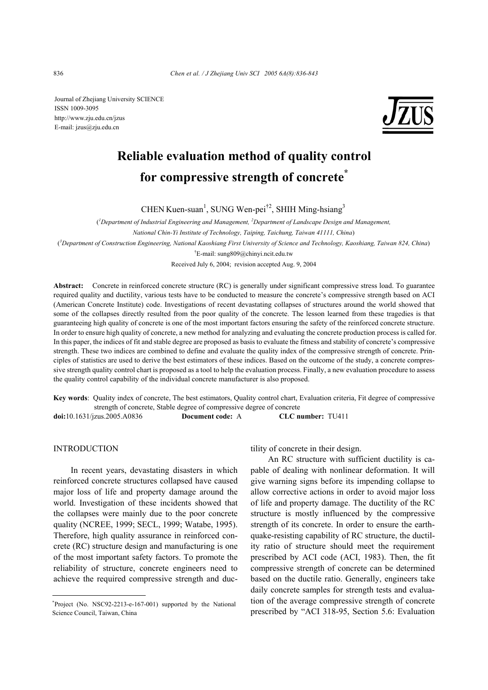Journal of Zhejiang University SCIENCE ISSN 1009-3095 http://www.zju.edu.cn/jzus E-mail: jzus@zju.edu.cn



# **Reliable evaluation method of quality control for compressive strength of concrete\***

CHEN Kuen-suan<sup>1</sup>, SUNG Wen-pei<sup>†2</sup>, SHIH Ming-hsiang<sup>3</sup>

( *1 Department of Industrial Engineering and Management, 2 Department of Landscape Design and Management, National Chin-Yi Institute of Technology, Taiping, Taichung, Taiwan 41111, China*)

( *3 Department of Construction Engineering, National Kaoshiang First University of Science and Technology, Kaoshiang, Taiwan 824, China*)

† E-mail: sung809@chinyi.ncit.edu.tw

Received July 6, 2004; revision accepted Aug. 9, 2004

**Abstract:** Concrete in reinforced concrete structure (RC) is generally under significant compressive stress load. To guarantee required quality and ductility, various tests have to be conducted to measure the concrete's compressive strength based on ACI (American Concrete Institute) code. Investigations of recent devastating collapses of structures around the world showed that some of the collapses directly resulted from the poor quality of the concrete. The lesson learned from these tragedies is that guaranteeing high quality of concrete is one of the most important factors ensuring the safety of the reinforced concrete structure. In order to ensure high quality of concrete, a new method for analyzing and evaluating the concrete production process is called for. In this paper, the indices of fit and stable degree are proposed as basis to evaluate the fitness and stability of concrete's compressive strength. These two indices are combined to define and evaluate the quality index of the compressive strength of concrete. Principles of statistics are used to derive the best estimators of these indices. Based on the outcome of the study, a concrete compressive strength quality control chart is proposed as a tool to help the evaluation process. Finally, a new evaluation procedure to assess the quality control capability of the individual concrete manufacturer is also proposed.

**Key words**: Quality index of concrete, The best estimators, Quality control chart, Evaluation criteria, Fit degree of compressive strength of concrete, Stable degree of compressive degree of concrete

**doi:**10.1631/jzus.2005.A0836 **Document code:** A **CLC number:** TU411

# INTRODUCTION

In recent years, devastating disasters in which reinforced concrete structures collapsed have caused major loss of life and property damage around the world. Investigation of these incidents showed that the collapses were mainly due to the poor concrete quality (NCREE, 1999; SECL, 1999; Watabe, 1995). Therefore, high quality assurance in reinforced concrete (RC) structure design and manufacturing is one of the most important safety factors. To promote the reliability of structure, concrete engineers need to achieve the required compressive strength and ductility of concrete in their design.

An RC structure with sufficient ductility is capable of dealing with nonlinear deformation. It will give warning signs before its impending collapse to allow corrective actions in order to avoid major loss of life and property damage. The ductility of the RC structure is mostly influenced by the compressive strength of its concrete. In order to ensure the earthquake-resisting capability of RC structure, the ductility ratio of structure should meet the requirement prescribed by ACI code (ACI, 1983). Then, the fit compressive strength of concrete can be determined based on the ductile ratio. Generally, engineers take daily concrete samples for strength tests and evaluation of the average compressive strength of concrete prescribed by "ACI 318-95, Section 5.6: Evaluation

<sup>\*</sup> Project (No. NSC92-2213-e-167-001) supported by the National Science Council, Taiwan, China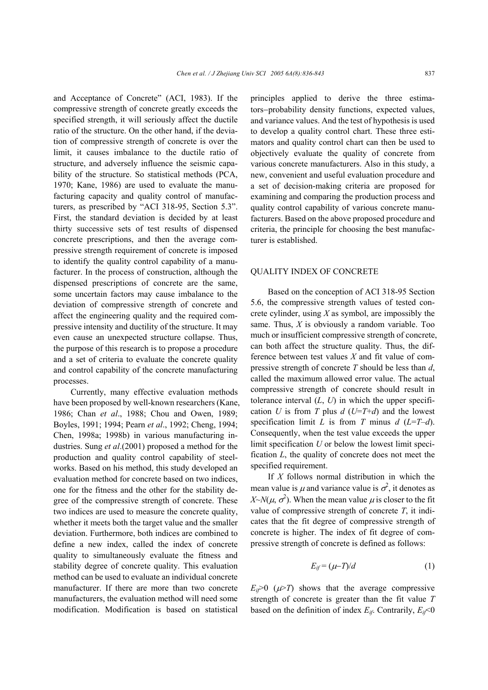and Acceptance of Concrete" (ACI, 1983). If the compressive strength of concrete greatly exceeds the specified strength, it will seriously affect the ductile ratio of the structure. On the other hand, if the deviation of compressive strength of concrete is over the limit, it causes imbalance to the ductile ratio of structure, and adversely influence the seismic capability of the structure. So statistical methods (PCA, 1970; Kane, 1986) are used to evaluate the manufacturing capacity and quality control of manufacturers, as prescribed by "ACI 318-95, Section 5.3". First, the standard deviation is decided by at least thirty successive sets of test results of dispensed concrete prescriptions, and then the average compressive strength requirement of concrete is imposed to identify the quality control capability of a manufacturer. In the process of construction, although the dispensed prescriptions of concrete are the same, some uncertain factors may cause imbalance to the deviation of compressive strength of concrete and affect the engineering quality and the required compressive intensity and ductility of the structure. It may even cause an unexpected structure collapse. Thus, the purpose of this research is to propose a procedure and a set of criteria to evaluate the concrete quality and control capability of the concrete manufacturing processes.

Currently, many effective evaluation methods have been proposed by well-known researchers (Kane, 1986; Chan *et al*., 1988; Chou and Owen, 1989; Boyles, 1991; 1994; Pearn *et al*., 1992; Cheng, 1994; Chen, 1998a; 1998b) in various manufacturing industries. Sung *et al*.(2001) proposed a method for the production and quality control capability of steelworks. Based on his method, this study developed an evaluation method for concrete based on two indices, one for the fitness and the other for the stability degree of the compressive strength of concrete. These two indices are used to measure the concrete quality, whether it meets both the target value and the smaller deviation. Furthermore, both indices are combined to define a new index, called the index of concrete quality to simultaneously evaluate the fitness and stability degree of concrete quality. This evaluation method can be used to evaluate an individual concrete manufacturer. If there are more than two concrete manufacturers, the evaluation method will need some modification. Modification is based on statistical

principles applied to derive the three estimators−probability density functions, expected values, and variance values. And the test of hypothesis is used to develop a quality control chart. These three estimators and quality control chart can then be used to objectively evaluate the quality of concrete from various concrete manufacturers. Also in this study, a new, convenient and useful evaluation procedure and a set of decision-making criteria are proposed for examining and comparing the production process and quality control capability of various concrete manufacturers. Based on the above proposed procedure and criteria, the principle for choosing the best manufacturer is established.

## QUALITY INDEX OF CONCRETE

Based on the conception of ACI 318-95 Section 5.6, the compressive strength values of tested concrete cylinder, using *X* as symbol, are impossibly the same. Thus, *X* is obviously a random variable. Too much or insufficient compressive strength of concrete, can both affect the structure quality. Thus, the difference between test values *X* and fit value of compressive strength of concrete *T* should be less than *d*, called the maximum allowed error value. The actual compressive strength of concrete should result in tolerance interval  $(L, U)$  in which the upper specification *U* is from *T* plus *d* ( $U=T+d$ ) and the lowest specification limit *L* is from *T* minus *d* ( $L = T - d$ ). Consequently, when the test value exceeds the upper limit specification *U* or below the lowest limit specification *L*, the quality of concrete does not meet the specified requirement.

If *X* follows normal distribution in which the mean value is  $\mu$  and variance value is  $\sigma^2$ , it denotes as  $X \sim N(\mu, \sigma^2)$ . When the mean value  $\mu$  is closer to the fit value of compressive strength of concrete *T*, it indicates that the fit degree of compressive strength of concrete is higher. The index of fit degree of compressive strength of concrete is defined as follows:

$$
E_{if} = (\mu - T)/d \tag{1}
$$

 $E_i \geq 0$  ( $\mu \geq T$ ) shows that the average compressive strength of concrete is greater than the fit value *T*  based on the definition of index  $E_{if}$ . Contrarily,  $E_{if}$ <0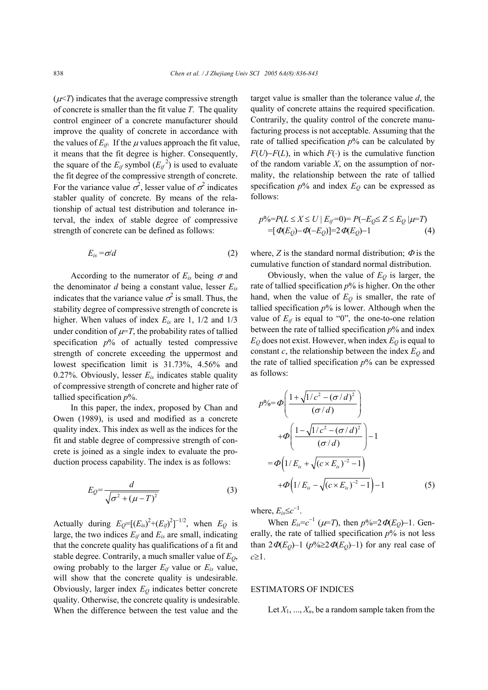$(\mu \leq T)$  indicates that the average compressive strength of concrete is smaller than the fit value *T.* The quality control engineer of a concrete manufacturer should improve the quality of concrete in accordance with the values of  $E_{if}$ . If the  $\mu$  values approach the fit value. it means that the fit degree is higher. Consequently, the square of the  $E_{if}$  symbol  $(E_{if}^2)$  is used to evaluate the fit degree of the compressive strength of concrete. For the variance value  $\sigma^2$ , lesser value of  $\sigma^2$  indicates stabler quality of concrete. By means of the relationship of actual test distribution and tolerance interval, the index of stable degree of compressive strength of concrete can be defined as follows:

$$
E_{is} = \sigma/d \tag{2}
$$

According to the numerator of  $E_{is}$  being  $\sigma$  and the denominator *d* being a constant value, lesser *Eis* indicates that the variance value  $\sigma^2$  is small. Thus, the stability degree of compressive strength of concrete is higher. When values of index *Eis* are 1, 1/2 and 1/3 under condition of  $\mu = T$ , the probability rates of tallied specification  $p\%$  of actually tested compressive strength of concrete exceeding the uppermost and lowest specification limit is 31.73%, 4.56% and 0.27%. Obviously, lesser *Eis* indicates stable quality of compressive strength of concrete and higher rate of tallied specification *p*%.

In this paper, the index, proposed by Chan and Owen (1989), is used and modified as a concrete quality index. This index as well as the indices for the fit and stable degree of compressive strength of concrete is joined as a single index to evaluate the production process capability. The index is as follows:

$$
E_Q = \frac{d}{\sqrt{\sigma^2 + (\mu - T)^2}}
$$
(3)

Actually during  $E_Q = [(E_{is})^2 + (E_{if})^2]^{-1/2}$ , when  $E_Q$  is large, the two indices  $E_{if}$  and  $E_{is}$  are small, indicating that the concrete quality has qualifications of a fit and stable degree. Contrarily, a much smaller value of *EQ*, owing probably to the larger  $E_{if}$  value or  $E_{is}$  value, will show that the concrete quality is undesirable. Obviously, larger index  $E<sub>O</sub>$  indicates better concrete quality. Otherwise, the concrete quality is undesirable. When the difference between the test value and the

target value is smaller than the tolerance value *d*, the quality of concrete attains the required specification. Contrarily, the quality control of the concrete manufacturing process is not acceptable. Assuming that the rate of tallied specification *p*% can be calculated by  $F(U)$ − $F(L)$ , in which  $F(\cdot)$  is the cumulative function of the random variable *X*, on the assumption of normality, the relationship between the rate of tallied specification  $p\%$  and index  $E_Q$  can be expressed as follows:

$$
p\% = P(L \le X \le U \mid E_{ij} = 0) = P(-E_Q \le Z \le E_Q \mid \mu = T)
$$
  
=  $[\Phi(E_Q) - \Phi(-E_Q)] = 2\Phi(E_Q) - 1$  (4)

where, *Z* is the standard normal distribution;  $\Phi$  is the cumulative function of standard normal distribution.

Obviously, when the value of  $E<sub>O</sub>$  is larger, the rate of tallied specification *p*% is higher. On the other hand, when the value of  $E_Q$  is smaller, the rate of tallied specification  $p\%$  is lower. Although when the value of  $E_{if}$  is equal to "0", the one-to-one relation between the rate of tallied specification *p*% and index  $E_Q$  does not exist. However, when index  $E_Q$  is equal to constant  $c$ , the relationship between the index  $E<sub>O</sub>$  and the rate of tallied specification *p*% can be expressed as follows:

$$
p\% = \Phi\left(\frac{1 + \sqrt{1/c^2 - (\sigma/d)^2}}{(\sigma/d)}\right) + \Phi\left(\frac{1 - \sqrt{1/c^2 - (\sigma/d)^2}}{(\sigma/d)}\right) - 1 = \Phi\left(1/E_{is} + \sqrt{(c \times E_{is})^{-2} - 1}\right) + \Phi\left(1/E_{is} - \sqrt{(c \times E_{is})^{-2} - 1}\right) - 1
$$
(5)

where,  $E_{is} \leq c^{-1}$ .

When  $E_{is} = c^{-1} (\mu = T)$ , then  $p\% = 2 \Phi(E_Q) - 1$ . Generally, the rate of tallied specification  $p\%$  is not less than  $2\Phi(E_0)$ –1 ( $p\% \geq 2\Phi(E_0)$ –1) for any real case of *c*≥1.

## ESTIMATORS OF INDICES

Let  $X_1, ..., X_n$ , be a random sample taken from the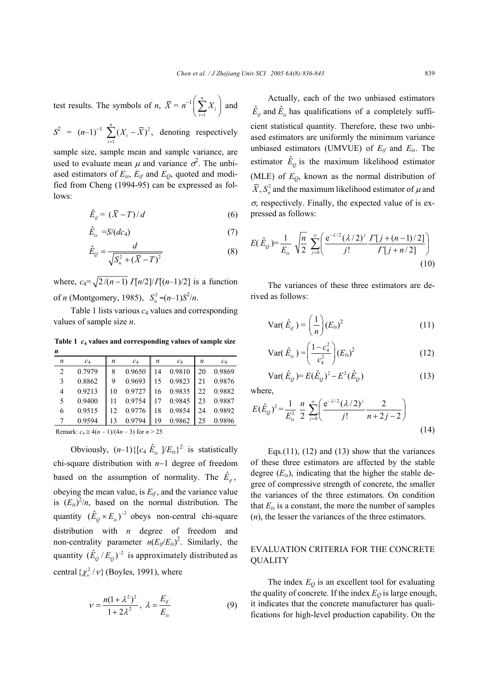test results. The symbols of *n*,  $\overline{X} = n^{-1}$ 1 *n*  $\sum_{i=1}^{I}$ *X*  $\left(\sum_{i=1}^n X_i\right)$  and

 $S^2 = (n-1)^{-1} \sum_{i=1}^{n} (X_i - \overline{X})^2$ 1  $\sum_{i=1}^{n} (X_i - \overline{X})^2$ ,  $\sum_{i=1}^{N}$  $X_{i}-\overline{X}$  $\sum_{i=1}^{\infty} (X_i - \overline{X})^2$ , denoting respectively

sample size, sample mean and sample variance, are used to evaluate mean  $\mu$  and variance  $\sigma^2$ . The unbiased estimators of  $E_{is}$ ,  $E_{if}$  and  $E_O$ , quoted and modified from Cheng (1994-95) can be expressed as follows:

$$
\hat{E}_{if} = (\bar{X} - T)/d \tag{6}
$$

$$
\hat{E}_{is} = S/(dc_4) \tag{7}
$$

$$
\hat{E}_{Q} = \frac{d}{\sqrt{S_n^2 + (\overline{X} - T)^2}}\tag{8}
$$

where,  $c_4 = \sqrt{2/(n-1)} \prod_{n/2}^{n/2} |I(n-1)/2|$  is a function of *n* (Montgomery, 1985),  $S_n^2 = (n-1)S^2/n$ .

Table 1 lists various  $c_4$  values and corresponding values of sample size *n*.

**Table 1** *c***4 values and corresponding values of sample size**  *n*

| n | c <sub>4</sub> | n  | c <sub>4</sub> | n  | $c_4$  | n  | $c_4$  |
|---|----------------|----|----------------|----|--------|----|--------|
| 2 | 0.7979         | 8  | 0.9650         | 14 | 0.9810 | 20 | 0.9869 |
| 3 | 0.8862         | 9  | 0.9693         | 15 | 0.9823 | 21 | 0.9876 |
| 4 | 0.9213         | 10 | 0.9727         | 16 | 0.9835 | 22 | 0.9882 |
| 5 | 0.9400         |    | 0.9754         | 17 | 0.9845 | 23 | 0.9887 |
| 6 | 0.9515         | 12 | 0.9776         | 18 | 0.9854 | 24 | 0.9892 |
|   | 0.9594         | 13 | 0.9794         | 19 | 0.9862 | 25 | 0.9896 |

Remark:  $c_4 \approx 4(n-1)/(4n-3)$  for *n* > 25

Obviously,  $(n-1)\{[c_4 \hat{E}_{is}]/E_{is}\}^2$  is statistically chi-square distribution with *n*−1 degree of freedom based on the assumption of normality. The  $\hat{E}_{if}$ , obeying the mean value, is  $E_{if}$ , and the variance value is  $(E_{is})^2/n$ , based on the normal distribution. The quantity  $(\hat{E}_0 \times E_{is})^{-2}$  obeys non-central chi-square distribution with *n* degree of freedom and non-centrality parameter  $n(E_{if}/E_{is})^2$ . Similarly, the quantity  $(\hat{E}_{\rho}/E_{\rho})^{-2}$  is approximately distributed as central  $\{\chi^2_\nu/\nu\}$  (Boyles, 1991), where

$$
v = \frac{n(1 + \lambda^2)^2}{1 + 2\lambda^2}, \ \lambda = \frac{E_{if}}{E_{is}}
$$
 (9)

Actually, each of the two unbiased estimators  $\hat{E}_{if}$  and  $\hat{E}_{is}$  has qualifications of a completely sufficient statistical quantity. Therefore, these two unbiased estimators are uniformly the minimum variance unbiased estimators (UMVUE) of *Eif* and *Eis*. The estimator  $\hat{E}_{\rho}$  is the maximum likelihood estimator (MLE) of *EQ*, known as the normal distribution of  $\overline{X}$ ,  $S_n^2$  and the maximum likelihood estimator of  $\mu$  and σ, respectively. Finally, the expected value of is expressed as follows:

$$
E(\hat{E}_Q) = \frac{1}{E_{is}} \sqrt{\frac{n}{2}} \sum_{j=0}^{\infty} \left( \frac{e^{-\lambda/2} (\lambda/2)^j}{j!} \frac{\Gamma[j + (n-1)/2]}{\Gamma[j + n/2]} \right)
$$
(10)

The variances of these three estimators are derived as follows:

$$
\text{Var}(\hat{E}_{ij}) = \left(\frac{1}{n}\right) (E_{is})^2 \tag{11}
$$

$$
Var(\hat{E}_{is}) = \left(\frac{1 - c_4^2}{c_4^2}\right) (E_{is})^2
$$
 (12)

$$
Var(\hat{E}_Q) = E(\hat{E}_Q)^2 - E^2(\hat{E}_Q)
$$
\n(13)

where,

$$
E(\hat{E}_Q)^2 = \frac{1}{E_{is}^2} \frac{n}{2} \sum_{j=0}^{\infty} \left( \frac{e^{-\lambda/2} (\lambda/2)^j}{j!} \frac{2}{n+2j-2} \right)
$$
(14)

Eqs.(11), (12) and (13) show that the variances of these three estimators are affected by the stable degree (*Eis*), indicating that the higher the stable degree of compressive strength of concrete, the smaller the variances of the three estimators. On condition that  $E_{is}$  is a constant, the more the number of samples (*n*), the lesser the variances of the three estimators.

# EVALUATION CRITERIA FOR THE CONCRETE **QUALITY**

The index  $E_Q$  is an excellent tool for evaluating the quality of concrete. If the index  $E<sub>O</sub>$  is large enough, it indicates that the concrete manufacturer has qualifications for high-level production capability. On the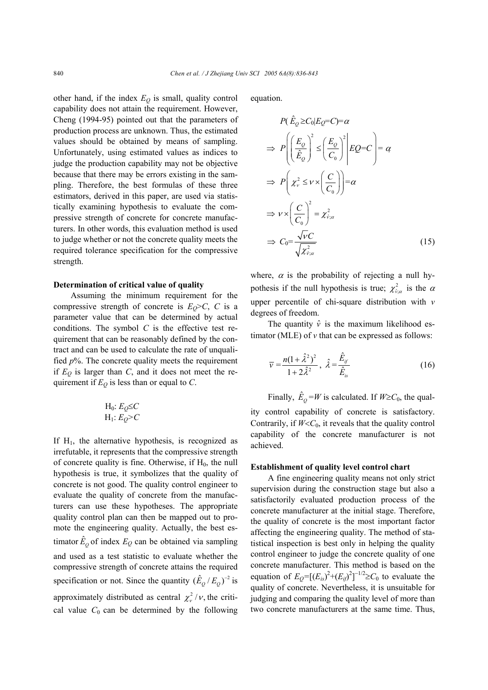other hand, if the index  $E_Q$  is small, quality control capability does not attain the requirement. However, Cheng (1994-95) pointed out that the parameters of production process are unknown. Thus, the estimated values should be obtained by means of sampling. Unfortunately, using estimated values as indices to judge the production capability may not be objective because that there may be errors existing in the sampling. Therefore, the best formulas of these three estimators, derived in this paper, are used via statistically examining hypothesis to evaluate the compressive strength of concrete for concrete manufacturers. In other words, this evaluation method is used to judge whether or not the concrete quality meets the required tolerance specification for the compressive strength.

## **Determination of critical value of quality**

Assuming the minimum requirement for the compressive strength of concrete is  $E_0 > C$ , *C* is a parameter value that can be determined by actual conditions. The symbol *C* is the effective test requirement that can be reasonably defined by the contract and can be used to calculate the rate of unqualified *p*%. The concrete quality meets the requirement if  $E_Q$  is larger than  $C$ , and it does not meet the requirement if  $E_Q$  is less than or equal to *C*.

$$
H_0: E_Q \leq C
$$
  

$$
H_1: E_Q \geq C
$$

If  $H_1$ , the alternative hypothesis, is recognized as irrefutable, it represents that the compressive strength of concrete quality is fine. Otherwise, if  $H_0$ , the null hypothesis is true, it symbolizes that the quality of concrete is not good. The quality control engineer to evaluate the quality of concrete from the manufacturers can use these hypotheses. The appropriate quality control plan can then be mapped out to promote the engineering quality. Actually, the best estimator  $\hat{E}_{\rho}$  of index  $E_{Q}$  can be obtained via sampling and used as a test statistic to evaluate whether the compressive strength of concrete attains the required specification or not. Since the quantity  $(\hat{E}_Q / E_Q)^{-2}$  is approximately distributed as central  $\chi^2$  / v, the critical value  $C_0$  can be determined by the following

equation.

$$
P(\hat{E}_Q \ge C_0 | E_Q = C) = \alpha
$$
  
\n
$$
\Rightarrow P\left(\left(\frac{E_Q}{\hat{E}_Q}\right)^2 \le \left(\frac{E_Q}{C_0}\right)^2 | EQ = C\right) = \alpha
$$
  
\n
$$
\Rightarrow P\left(\chi_v^2 \le \nu \times \left(\frac{C}{C_0}\right)\right) = \alpha
$$
  
\n
$$
\Rightarrow \nu \times \left(\frac{C}{C_0}\right)^2 = \chi_{\hat{v}, \alpha}^2
$$
  
\n
$$
\Rightarrow C_0 = \frac{\sqrt{\nu C}}{\sqrt{\chi_{\hat{v}, \alpha}^2}}
$$
(15)

where,  $\alpha$  is the probability of rejecting a null hypothesis if the null hypothesis is true;  $\chi^2_{\hat{y}\alpha}$  is the  $\alpha$ upper percentile of chi-square distribution with *v* degrees of freedom.

The quantity  $\hat{v}$  is the maximum likelihood estimator (MLE) of *v* that can be expressed as follows:

$$
\overline{v} = \frac{n(1 + \hat{\lambda}^2)^2}{1 + 2\hat{\lambda}^2}, \ \hat{\lambda} = \frac{\hat{E}_{if}}{\hat{E}_{is}}
$$
(16)

Finally,  $\hat{E}_o = W$  is calculated. If  $W \geq C_0$ , the quality control capability of concrete is satisfactory. Contrarily, if  $W < C_0$ , it reveals that the quality control capability of the concrete manufacturer is not achieved.

## **Establishment of quality level control chart**

A fine engineering quality means not only strict supervision during the construction stage but also a satisfactorily evaluated production process of the concrete manufacturer at the initial stage. Therefore, the quality of concrete is the most important factor affecting the engineering quality. The method of statistical inspection is best only in helping the quality control engineer to judge the concrete quality of one concrete manufacturer. This method is based on the equation of  $E_Q = [(E_{is})^2 + (E_{if})^2]^{-1/2} \ge C_0$  to evaluate the quality of concrete. Nevertheless, it is unsuitable for judging and comparing the quality level of more than two concrete manufacturers at the same time. Thus,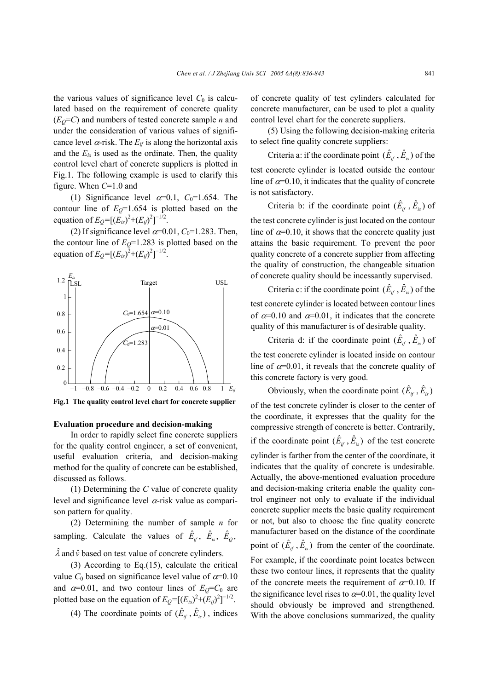the various values of significance level  $C_0$  is calculated based on the requirement of concrete quality  $(E<sub>O</sub>=C)$  and numbers of tested concrete sample *n* and under the consideration of various values of significance level  $\alpha$ -risk. The  $E_{if}$  is along the horizontal axis and the  $E_{is}$  is used as the ordinate. Then, the quality control level chart of concrete suppliers is plotted in Fig.1. The following example is used to clarify this figure. When *C*=1.0 and

(1) Significance level  $\alpha=0.1$ ,  $C_0=1.654$ . The contour line of  $E<sub>Q</sub>=1.654$  is plotted based on the equation of  $E_Q = [(E_{is})^2 + (E_{if})^2]^{-1/2}$ .

(2) If significance level  $\alpha$ =0.01,  $C_0$ =1.283. Then, the contour line of  $E_Q$ =1.283 is plotted based on the equation of  $E_Q = [(E_{is})^2 + (E_{if})^2]^{-1/2}$ .



**Fig.1 The quality control level chart for concrete supplier** 

## **Evaluation procedure and decision-making**

In order to rapidly select fine concrete suppliers for the quality control engineer, a set of convenient, useful evaluation criteria, and decision-making method for the quality of concrete can be established, discussed as follows.

(1) Determining the *C* value of concrete quality level and significance level  $\alpha$ -risk value as comparison pattern for quality.

(2) Determining the number of sample *n* for sampling. Calculate the values of  $\hat{E}_{if}$ ,  $\hat{E}_{is}$ ,  $\hat{E}_{o}$ ,  $\hat{\lambda}$  and  $\hat{v}$  based on test value of concrete cylinders.

(3) According to Eq.(15), calculate the critical value  $C_0$  based on significance level value of  $\alpha$ =0.10 and  $\alpha=0.01$ , and two contour lines of  $E_0=C_0$  are plotted base on the equation of  $E_Q = [(E_{is})^2 + (E_{if})^2]^{-1/2}$ .

(4) The coordinate points of  $(\hat{E}_{if}, \hat{E}_{is})$ , indices

of concrete quality of test cylinders calculated for concrete manufacturer, can be used to plot a quality control level chart for the concrete suppliers.

(5) Using the following decision-making criteria to select fine quality concrete suppliers:

Criteria a: if the coordinate point  $(\hat{E}_{if}, \hat{E}_{is})$  of the test concrete cylinder is located outside the contour line of  $\alpha$ =0.10, it indicates that the quality of concrete is not satisfactory.

Criteria b: if the coordinate point  $(\hat{E}_{if}, \hat{E}_{is})$  of the test concrete cylinder is just located on the contour line of  $\alpha$ =0.10, it shows that the concrete quality just attains the basic requirement. To prevent the poor quality concrete of a concrete supplier from affecting the quality of construction, the changeable situation of concrete quality should be incessantly supervised.

Criteria c: if the coordinate point  $(\hat{E}_{if}, \hat{E}_{i})$  of the test concrete cylinder is located between contour lines of  $\alpha$ =0.10 and  $\alpha$ =0.01, it indicates that the concrete quality of this manufacturer is of desirable quality.

Criteria d: if the coordinate point  $(\hat{E}_{if}, \hat{E}_{is})$  of the test concrete cylinder is located inside on contour line of  $\alpha=0.01$ , it reveals that the concrete quality of this concrete factory is very good.

Obviously, when the coordinate point  $(\hat{E}_{if}, \hat{E}_{is})$ of the test concrete cylinder is closer to the center of the coordinate, it expresses that the quality for the compressive strength of concrete is better. Contrarily, if the coordinate point  $(\hat{E}_{if}, \hat{E}_{is})$  of the test concrete cylinder is farther from the center of the coordinate, it indicates that the quality of concrete is undesirable. Actually, the above-mentioned evaluation procedure and decision-making criteria enable the quality control engineer not only to evaluate if the individual concrete supplier meets the basic quality requirement or not, but also to choose the fine quality concrete manufacturer based on the distance of the coordinate point of  $(\hat{E}_{if}, \hat{E}_{is})$  from the center of the coordinate. For example, if the coordinate point locates between these two contour lines, it represents that the quality of the concrete meets the requirement of  $\alpha$ =0.10. If the significance level rises to  $\alpha=0.01$ , the quality level should obviously be improved and strengthened. With the above conclusions summarized, the quality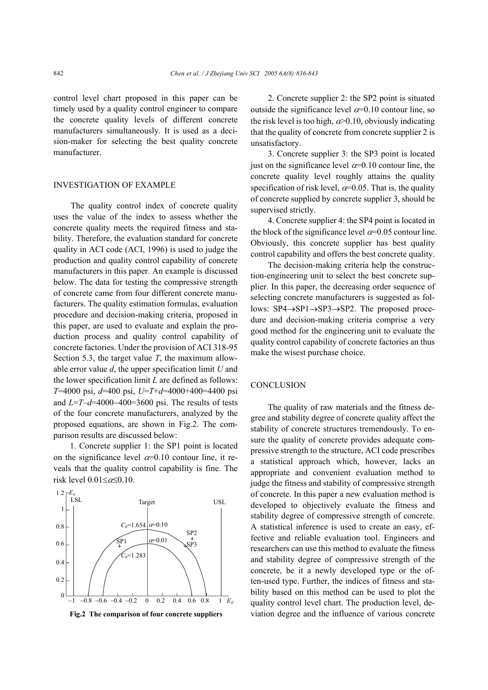control level chart proposed in this paper can be timely used by a quality control engineer to compare the concrete quality levels of different concrete manufacturers simultaneously. It is used as a decision-maker for selecting the best quality concrete manufacturer.

# INVESTIGATION OF EXAMPLE

The quality control index of concrete quality uses the value of the index to assess whether the concrete quality meets the required fitness and stability. Therefore, the evaluation standard for concrete quality in ACI code (ACI, 1996) is used to judge the production and quality control capability of concrete manufacturers in this paper. An example is discussed below. The data for testing the compressive strength of concrete came from four different concrete manufacturers. The quality estimation formulas, evaluation procedure and decision-making criteria, proposed in this paper, are used to evaluate and explain the production process and quality control capability of concrete factories. Under the provision of ACI 318-95 Section 5.3, the target value *T*, the maximum allowable error value *d*, the upper specification limit *U* and the lower specification limit *L* are defined as follows: *T*=4000 psi, *d*=400 psi, *U*=*T*+*d*=4000+400=4400 psi and *L*=*T*–*d*=4000−400=3600 psi. The results of tests of the four concrete manufacturers, analyzed by the proposed equations, are shown in Fig.2. The comparison results are discussed below:

1. Concrete supplier 1: the SP1 point is located on the significance level  $\alpha=0.10$  contour line, it reveals that the quality control capability is fine. The risk level  $0.01 \leq \alpha \leq 0.10$ .



2. Concrete supplier 2: the SP2 point is situated outside the significance level  $\alpha=0.10$  contour line, so the risk level is too high,  $\alpha$  > 0.10, obviously indicating that the quality of concrete from concrete supplier 2 is unsatisfactory.

3. Concrete supplier 3: the SP3 point is located just on the significance level  $\alpha$ =0.10 contour line, the concrete quality level roughly attains the quality specification of risk level,  $\alpha$ =0.05. That is, the quality of concrete supplied by concrete supplier 3, should be supervised strictly.

4. Concrete supplier 4: the SP4 point is located in the block of the significance level  $\alpha$ =0.05 contour line. Obviously, this concrete supplier has best quality control capability and offers the best concrete quality.

The decision-making criteria help the construction-engineering unit to select the best concrete supplier. In this paper, the decreasing order sequence of selecting concrete manufacturers is suggested as follows: SP4→SP1→SP3→SP2. The proposed procedure and decision-making criteria comprise a very good method for the engineering unit to evaluate the quality control capability of concrete factories an thus make the wisest purchase choice.

# **CONCLUSION**

The quality of raw materials and the fitness degree and stability degree of concrete quality affect the stability of concrete structures tremendously. To ensure the quality of concrete provides adequate compressive strength to the structure, ACI code prescribes a statistical approach which, however, lacks an appropriate and convenient evaluation method to judge the fitness and stability of compressive strength of concrete. In this paper a new evaluation method is developed to objectively evaluate the fitness and stability degree of compressive strength of concrete. A statistical inference is used to create an easy, effective and reliable evaluation tool. Engineers and researchers can use this method to evaluate the fitness and stability degree of compressive strength of the concrete, be it a newly developed type or the often-used type. Further, the indices of fitness and stability based on this method can be used to plot the quality control level chart. The production level, de-**Fig.2 The comparison of four concrete suppliers** viation degree and the influence of various concrete